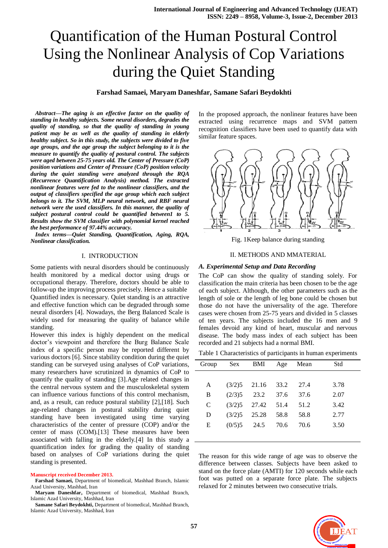# Quantification of the Human Postural Control Using the Nonlinear Analysis of Cop Variations during the Quiet Standing

## **Farshad Samaei, Maryam Daneshfar, Samane Safari Beydokhti**

*Abstract—The aging is an effective factor on the quality of standing in healthy subjects. Some neural disorders, degrades the quality of standing, so that the quality of standing in young patient may be as well as the quality of standing in elderly healthy subject. So in this study, the subjects were divided to five age groups, and the age group the subject belonging to it is the measure to quantify the quality of postural control. The subjects were aged between 25-75 years old. The Center of Pressure (CoP) position variations and Center of Pressure (CoP) position velocity during the quiet standing were analyzed through the RQA (Recurrence Quantification Analysis) method. The extracted nonlinear features were fed to the nonlinear classifiers, and the output of classifiers specified the age group which each subject belongs to it. The SVM, MLP neural network, and RBF neural network were the used classifiers. In this manner, the quality of subject postural control could be quantified between1 to 5. Results show the SVM classifier with polynomial kernel reached the best performance of 97.44% accuracy.*

*Index terms—Quiet Standing, Quantification, Aging, RQA, Nonlinear classification.*

## I. INTRODUCTION

Some patients with neural disorders should be continuously health monitored by a medical doctor using drugs or occupational therapy. Therefore, doctors should be able to follow-up the improving process precisely. Hence a suitable Quantified index is necessary. Quiet standing is an attractive and effective function which can be degraded through some neural disorders [4]. Nowadays, the Berg Balanced Scale is widely used for measuring the quality of balance while standing.

However this index is highly dependent on the medical doctor's viewpoint and therefore the Burg Balance Scale index of a specific person may be reported different by various doctors [6]. Since stability condition during the quiet standing can be surveyed using analyses of CoP variations, many researchers have scrutinized in dynamics of CoP to quantify the quality of standing [3].Age related changes in the central nervous system and the musculoskeletal system can influence various functions of this control mechanism, and, as a result, can reduce postural stability [2],[18]. Such age-related changes in postural stability during quiet standing have been investigated using time varying characteristics of the center of pressure (COP) and/or the center of mass (COM).[13] These measures have been associated with falling in the elderly.[4] In this study a quantification index for grading the quality of standing based on analyses of CoP variations during the quiet standing is presented.

#### **Manuscript received December 2013.**

**Farshad Samaei,** Department of biomedical, Mashhad Branch, Islamic Azad University, Mashhad, Iran

**Maryam Daneshfar,** Department of biomedical, Mashhad Branch, Islamic Azad University, Mashhad, Iran

**Samane Safari Beydokhti,** Department of biomedical, Mashhad Branch, Islamic Azad University, Mashhad, Iran

In the proposed approach, the nonlinear features have been extracted using recurrence maps and SVM pattern recognition classifiers have been used to quantify data with similar feature spaces.



Fig. 1Keep balance during standing

### II. METHODS AND MMATERIAL

#### *A. Experimental Setup and Data Recording*

The CoP can show the quality of standing solely. For classification the main criteria has been chosen to be the age of each subject. Although, the other parameters such as the length of sole or the length of leg bone could be chosen but those do not have the universality of the age. Therefore cases were chosen from 25-75 years and divided in 5 classes of ten years. The subjects included the 16 men and 9 females devoid any kind of heart, muscular and nervous disease. The body mass index of each subject has been recorded and 21 subjects had a normal BMI.

|  | Table 1 Characteristics of participants in human experiments |  |  |  |  |
|--|--------------------------------------------------------------|--|--|--|--|
|  |                                                              |  |  |  |  |

| Group        | Sex    | BMI   | Age  | Mean | Std  |
|--------------|--------|-------|------|------|------|
|              |        |       |      |      |      |
| A            | (3/2)5 | 21.16 | 33.2 | 27.4 | 3.78 |
| В            | (2/3)5 | 23.2  | 37.6 | 37.6 | 2.07 |
| $\mathsf{C}$ | (3/2)5 | 27.42 | 51.4 | 51.2 | 3.42 |
| D            | (3/2)5 | 25.28 | 58.8 | 58.8 | 2.77 |
| Е            | (0/5)5 | 24.5  | 70.6 | 70.6 | 3.50 |
|              |        |       |      |      |      |

The reason for this wide range of age was to observe the difference between classes. Subjects have been asked to stand on the force plate (AMTI) for 120 seconds while each foot was putted on a separate force plate. The subjects relaxed for 2 minutes between two consecutive trials.

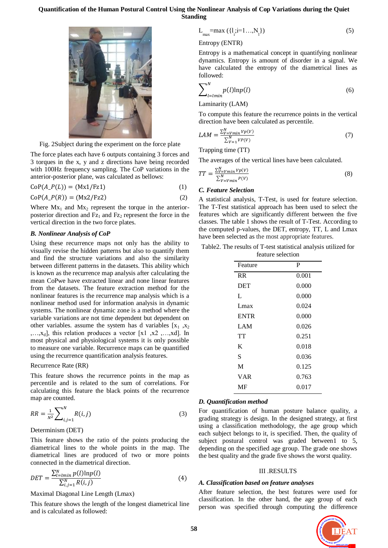## **Quantification of the Human Postural Control Using the Nonlinear Analysis of Cop Variations during the Quiet Standing**



Fig. 2Subject during the experiment on the force plate

The force plates each have 6 outputs containing 3 forces and 3 torques in the x, y and z directions have being recorded with 100Hz frequency sampling. The CoP variations in the anterior-posterior plane, was calculated as bellows:

 $CoP(A_P(L)) = (Mx1/Fz1)$  (1)

 $CoP(A \ P(R)) = (Mx2/Fz2)$  (2)

Where  $Mx_1$  and  $Mx_2$  represent the torque in the anteriorposterior direction and  $Fz_1$  and  $Fz_2$  represent the force in the vertical direction in the two force plates.

#### *B. Nonlinear Analysis of CoP*

Using these recurrence maps not only has the ability to visually revise the hidden patterns but also to quantify them and find the structure variations and also the similarity between different patterns in the datasets. This ability which is known as the recurrence map analysis after calculating the mean CoPwe have extracted linear and none linear features from the datasets. The feature extraction method for the nonlinear features is the recurrence map analysis which is a nonlinear method used for information analysis in dynamic systems. The nonlinear dynamic zone is a method where the variable variations are not time dependent but dependent on other variables. assume the system has d variables  $[x_1, x_2]$ ,…,xd], this relation produces a vector [x1 ,x2 ,…,xd]. In most physical and physiological systems it is only possible to measure one variable. Recurrence maps can be quantified using the recurrence quantification analysis features.

#### Recurrence Rate (RR)

This feature shows the recurrence points in the map as percentile and is related to the sum of correlations. For calculating this feature the black points of the recurrence map are counted.

$$
RR = \frac{1}{N^2} \sum_{i,j=1}^{N} R(i,j)
$$
 (3)

## Determinism (DET)

This feature shows the ratio of the points producing the diametrical lines to the whole points in the map. The diametrical lines are produced of two or more points connected in the diametrical direction.

$$
DET = \frac{\sum_{l=lmin}^{N} p(l) \ln p(l)}{\sum_{i,j=1}^{N} R(i,j)}
$$
(4)

#### Maximal Diagonal Line Length (Lmax)

This feature shows the length of the longest diametrical line and is calculated as followed:

$$
L_{\max} = \max\left(\{1_{i}; i=1...,N_{1}\}\right) \tag{5}
$$

Entropy (ENTR)

Entropy is a mathematical concept in quantifying nonlinear dynamics. Entropy is amount of disorder in a signal. We have calculated the entropy of the diametrical lines as followed:

$$
\sum_{l=lmin}^{N} p(l) \ln p(l) \tag{6}
$$

Laminarity (LAM)

To compute this feature the recurrence points in the vertical direction have been calculated as percentile.

$$
LAM = \frac{\sum_{V=Vmin}^{N} Vp(V)}{\sum_{V=1}^{N} VP(V)}\tag{7}
$$

Trapping time (TT)

The averages of the vertical lines have been calculated.

$$
TT = \frac{\sum_{V=Vmin}^{N} Vp(V)}{\sum_{V=Vmin}^{N} P(V)}\tag{8}
$$

## *C. Feature Selection*

A statistical analysis, T-Test, is used for feature selection. The T-Test statistical approach has been used to select the features which are significantly different between the five classes. The table 1 shows the result of T-Test. According to the computed p-values, the DET, entropy, TT, L and Lmax have been selected as the most appropriate features.

Table2. The results of T-test statistical analysis utilized for feature selection

| Feature     | P     |
|-------------|-------|
| <b>RR</b>   | 0.001 |
| <b>DET</b>  | 0.000 |
| L           | 0.000 |
| Lmax        | 0.024 |
| <b>ENTR</b> | 0.000 |
| LAM         | 0.026 |
| TT          | 0.251 |
| K           | 0.018 |
| S           | 0.036 |
| M           | 0.125 |
| <b>VAR</b>  | 0.763 |
| MF          | 0.017 |
|             |       |

#### *D. Quantification method*

For quantification of human posture balance quality, a grading strategy is design. In the designed strategy, at first using a classification methodology, the age group which each subject belongs to it, is specified. Then, the quality of subject postural control was graded between1 to 5, depending on the specified age group. The grade one shows the best quality and the grade five shows the worst quality.

#### III .RESULTS

#### *A. Classification based on feature analyses*

After feature selection, the best features were used for classification. In the other hand, the age group of each person was specified through computing the difference

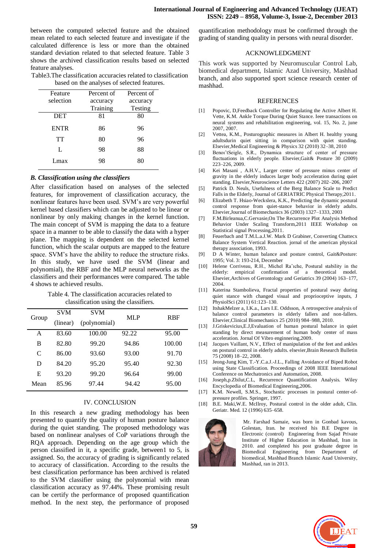between the computed selected feature and the obtained mean related to each selected feature and investigate if the calculated difference is less or more than the obtained standard deviation related to that selected feature. Table 3 shows the archived classification results based on selected feature analyses.

| Table3. The classification accuracies related to classification |
|-----------------------------------------------------------------|
| based on the analyses of selected features.                     |

| Feature     | Percent of | Percent of |  |
|-------------|------------|------------|--|
| selection   | accuracy   | accuracy   |  |
|             | Training   | Testing    |  |
| DET         | 81         | 80         |  |
| <b>ENTR</b> | 86         | 96         |  |
| TT          | 80         | 96         |  |
| L           | 98         | 88         |  |
| Lmax        | 98         | 80         |  |
|             |            |            |  |

#### *B. Classification using the classifiers*

After classification based on analyses of the selected features, for improvement of classification accuracy, the nonlinear features have been used. SVM's are very powerful kernel based classifiers which can be adjusted to be linear or nonlinear by only making changes in the kernel function. The main concept of SVM is mapping the data to a feature space in a manner to be able to classify the data with a hyper plane. The mapping is dependent on the selected kernel function, which the scalar outputs are mapped to the feature space. SVM's have the ability to reduce the structure risks. In this study, we have used the SVM (linear and polynomial), the RBF and the MLP neural networks as the classifiers and their performances were compared. The table 4 shows te achieved results.

Table 4. The classification accuracies related to classification using the classifiers.

| Group                       | <b>SVM</b> | <b>SVM</b>   | MLP   | <b>RBF</b> |
|-----------------------------|------------|--------------|-------|------------|
|                             | (linear)   | (polynomial) |       |            |
| A                           | 83.60      | 100.00       | 92.22 | 95.00      |
| B                           | 82.80      | 99.20        | 94.86 | 100.00     |
| $\mathcal{C}_{\mathcal{C}}$ | 86.00      | 93.60        | 93.00 | 91.70      |
| D                           | 84.20      | 95.20        | 95.40 | 92.30      |
| Е                           | 93.20      | 99.20        | 96.64 | 99.00      |
| Mean                        | 85.96      | 97.44        | 94.42 | 95.00      |

#### IV. CONCLUSION

In this research a new grading methodology has been presented to quantify the quality of human posture balance during the quiet standing. The proposed methodology was based on nonlinear analyses of CoP variations through the RQA approach. Depending on the age group which the person classified in it, a specific grade, between1 to 5, is assigned. So, the accuracy of grading is significantly related to accuracy of classification. According to the results the best classification performance has been archived is related to the SVM classifier using the polynomial with mean classification accuracy as 97.44%. These promising result can be certify the performance of proposed quantification method. In the next step, the performance of proposed quantification methodology must be confirmed through the grading of standing quality in persons with neural disorder.

### ACKNOWLEDGMENT

This work was supported by Neuromuscular Control Lab, biomedical department, Islamic Azad University, Mashhad branch, and also supported sport science research center of mashhad.

#### REFERENCES

- [1] Popovic, D,Feedback Controller for Regulating the Active Albert H. Vette, K.M. Ankle Torque During Quiet Stance. Ieee transactions on neural systems and rehabilitation engineering, vol. 15, No. 2, june 2007, 2007.
- [2] Vettea, K.M., Posturographic measures in Albert H. healthy young adultsdurin quiet sitting in comparison with quiet standing. Elsevier,Medical Engineering & Physics 32 (2010) 32–38, 2010
- [3] Benoi^tSeigle, S.R., Dynamica structure of center of pressure fluctuations in elderly people. Elsevier,Gait& Posture 30 (2009) 223–226, 2009.
- [4] Kei Masani , A.H.V., Larger center of pressure minus center of gravity in the elderly induces larger body acceleration during quiet standing. Elsevier,Neuroscience Letters 422 (2007) 202–206, 2007
- [5] Patrick D. Neuls, Usefulness of the Berg Balance Scale to Predict Falls in the Elderly, Journal of GERIATRIC Physical Therapy,2011.
- [6] Elizabeth T. Hsiao-Weckslera, K.K., Predicting the dynamic postural control response from quiet-stance behavior in elderly adults. Elsevier,Journal of Biomechanics 36 (2003) 1327–1333, 2003
- [7] F.M.Birleanua,C.Gervasie,On The Recurrence Plot Analysis Method Behavior Under Scaling Transform,2011 IEEE Workshop on Statistical signal Processing,2011.
- [8] Feuerbach and T.M.L.a.J.W. Mark D Grabiner, Converting Chattecx Balance System Vertical Reaction. jornal of the american physical therapy association, 1993.
- [9] D A Winter, human balance and posture control, Gait&Posture: 1995; Vol. 3: 193-214, December
- [10] Helene Corriveau, R.H., Michel Raˆıche, Postural stability in the elderly: empirical confirmation of a theoretical model. Elsevier,Archives of Gerontology and Geriatrics 39 (2004) 163–177, 2004.
- [11] Katerina Stambolieva, Fractal properties of postural sway during quiet stance with changed visual and proprioceptive inputs, J PhysiolSci (2011) 61:123–130.
- [12] ItshakMelzer a, I.K.a., Lars I.E. Oddsson, A retrospective analysis of balance control parameters in elderly fallers and non-fallers. Elsevier,Clinical Biomechanics 25 (2010) 984–988, 2010.
- [13] J.Griskevicius,E.J,Evaluation of human postural balance in quiet standing by direct measurement of human body center of mass acceleration. Jornal Of Vibro enginnering,2009.
- [14] Jacques Vaillant, N.V., Effect of manipulation of the feet and ankles on postural control in elderly adults. elsevier,Brain Research Bulletin 75 (2008) 18–22, 2008.
- [15] Jeong-Jung Kim, T.-Y.C.a.J.-J.L., Falling Avoidance of Biped Robot using State Classification. Proceedings of 2008 IEEE International Conference on Mechatronics and Automation, 2008.
- [16] Joseph,p.Zbilut,C.L, Recurrence Quantification Analysis. Wiley Encyclopedia of Biomedical Engineering,2006.
- [17] K.M. Newell, S.M.S., Stochastic processes in postural center-ofpressure profiles. Springer, 1997.
- [18] B.E. Maki, W.E. McIlroy, Postural control in the older adult, Clin. Geriatr. Med. 12 (1996) 635–658.



Mr. Farshad Samaie, was born in Gonbad kavous, Golestan, Iran. he received his B.E Degree in Electronic (control) Engineering from Sajad Private Institute of Higher Education in Mashhad, Iran in 2010. and completed his post graduate degree in Biomedical Engineering from Department of biomedical, Mashhad Branch Islamic Azad University, Mashhad, ran in 2013.